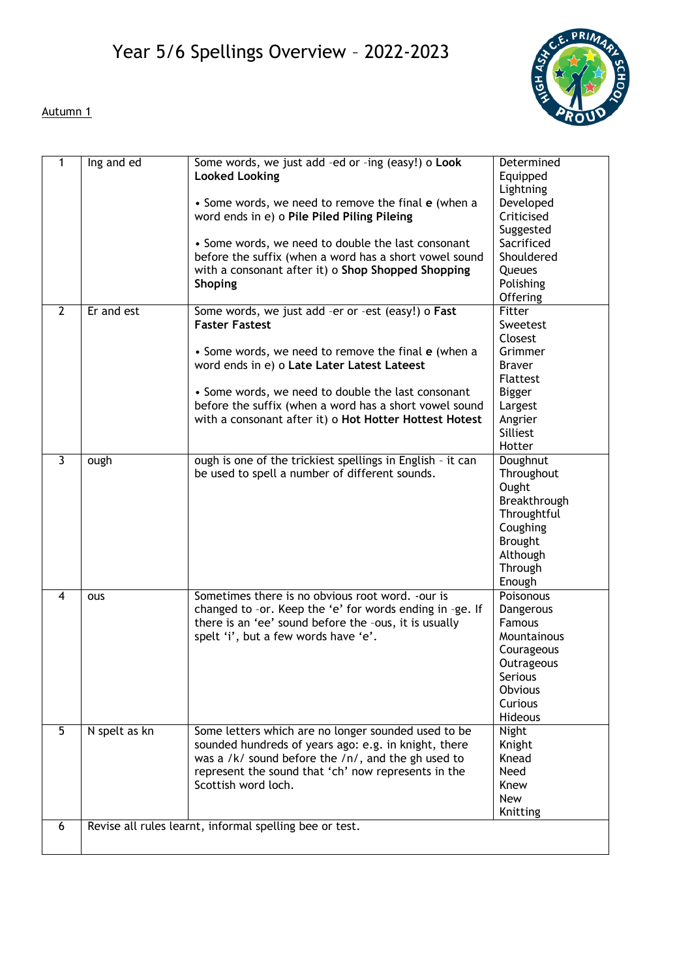

## Autumn 1

| 1              | Ing and ed    | Some words, we just add -ed or -ing (easy!) o Look<br><b>Looked Looking</b>                                       | Determined<br>Equipped  |
|----------------|---------------|-------------------------------------------------------------------------------------------------------------------|-------------------------|
|                |               | • Some words, we need to remove the final e (when a                                                               | Lightning<br>Developed  |
|                |               | word ends in e) o Pile Piled Piling Pileing                                                                       | Criticised              |
|                |               | • Some words, we need to double the last consonant                                                                | Suggested<br>Sacrificed |
|                |               | before the suffix (when a word has a short vowel sound                                                            | Shouldered              |
|                |               | with a consonant after it) o Shop Shopped Shopping                                                                | Queues                  |
|                |               | <b>Shoping</b>                                                                                                    | Polishing               |
|                |               |                                                                                                                   | Offering                |
| $\overline{2}$ | Er and est    | Some words, we just add -er or -est (easy!) o Fast                                                                | Fitter                  |
|                |               | <b>Faster Fastest</b>                                                                                             | Sweetest                |
|                |               | • Some words, we need to remove the final e (when a                                                               | Closest<br>Grimmer      |
|                |               | word ends in e) o Late Later Latest Lateest                                                                       | <b>Braver</b>           |
|                |               |                                                                                                                   | <b>Flattest</b>         |
|                |               | • Some words, we need to double the last consonant                                                                | <b>Bigger</b>           |
|                |               | before the suffix (when a word has a short vowel sound                                                            | Largest                 |
|                |               | with a consonant after it) o Hot Hotter Hottest Hotest                                                            | Angrier                 |
|                |               |                                                                                                                   | Silliest                |
|                |               |                                                                                                                   | Hotter                  |
| $\overline{3}$ | ough          | ough is one of the trickiest spellings in English - it can<br>be used to spell a number of different sounds.      | Doughnut<br>Throughout  |
|                |               |                                                                                                                   | Ought                   |
|                |               |                                                                                                                   | Breakthrough            |
|                |               |                                                                                                                   | Throughtful             |
|                |               |                                                                                                                   | Coughing                |
|                |               |                                                                                                                   | <b>Brought</b>          |
|                |               |                                                                                                                   | Although                |
|                |               |                                                                                                                   | Through                 |
|                |               |                                                                                                                   | Enough                  |
| $\overline{4}$ | ous           | Sometimes there is no obvious root word. - our is                                                                 | Poisonous               |
|                |               | changed to -or. Keep the 'e' for words ending in -ge. If<br>there is an 'ee' sound before the -ous, it is usually | Dangerous<br>Famous     |
|                |               | spelt 'i', but a few words have 'e'.                                                                              | Mountainous             |
|                |               |                                                                                                                   | Courageous              |
|                |               |                                                                                                                   | Outrageous              |
|                |               |                                                                                                                   | Serious                 |
|                |               |                                                                                                                   | Obvious                 |
|                |               |                                                                                                                   | Curious                 |
|                |               |                                                                                                                   | <b>Hideous</b>          |
| 5              | N spelt as kn | Some letters which are no longer sounded used to be                                                               | <b>Night</b>            |
|                |               | sounded hundreds of years ago: e.g. in knight, there<br>was a /k/ sound before the /n/, and the gh used to        | Knight<br>Knead         |
|                |               | represent the sound that 'ch' now represents in the                                                               | Need                    |
|                |               | Scottish word loch.                                                                                               | Knew                    |
|                |               |                                                                                                                   | New                     |
|                |               |                                                                                                                   | Knitting                |
| 6              |               | Revise all rules learnt, informal spelling bee or test.                                                           |                         |
|                |               |                                                                                                                   |                         |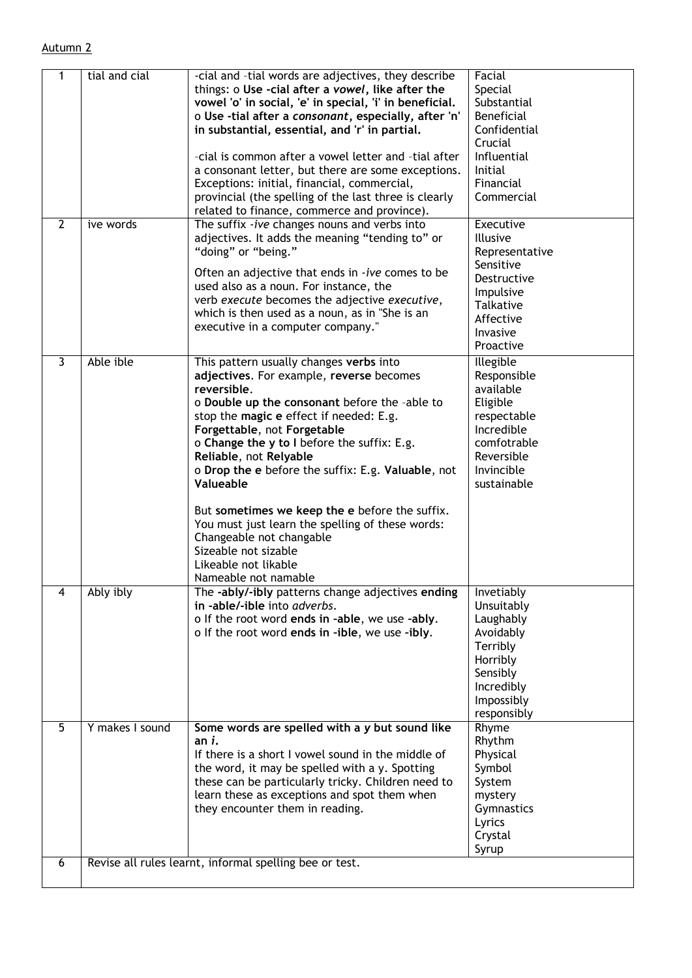| 1                       | tial and cial   | -cial and -tial words are adjectives, they describe<br>things: o Use -cial after a vowel, like after the<br>vowel 'o' in social, 'e' in special, 'i' in beneficial.<br>o Use -tial after a consonant, especially, after 'n'<br>in substantial, essential, and 'r' in partial.<br>-cial is common after a vowel letter and -tial after<br>a consonant letter, but there are some exceptions.<br>Exceptions: initial, financial, commercial,<br>provincial (the spelling of the last three is clearly<br>related to finance, commerce and province).                                  | Facial<br>Special<br>Substantial<br><b>Beneficial</b><br>Confidential<br>Crucial<br>Influential<br><b>Initial</b><br>Financial<br>Commercial      |
|-------------------------|-----------------|-------------------------------------------------------------------------------------------------------------------------------------------------------------------------------------------------------------------------------------------------------------------------------------------------------------------------------------------------------------------------------------------------------------------------------------------------------------------------------------------------------------------------------------------------------------------------------------|---------------------------------------------------------------------------------------------------------------------------------------------------|
| $\overline{2}$          | ive words       | The suffix -ive changes nouns and verbs into<br>adjectives. It adds the meaning "tending to" or<br>"doing" or "being."<br>Often an adjective that ends in -ive comes to be<br>used also as a noun. For instance, the<br>verb execute becomes the adjective executive,<br>which is then used as a noun, as in "She is an<br>executive in a computer company."                                                                                                                                                                                                                        | Executive<br><b>Illusive</b><br>Representative<br>Sensitive<br>Destructive<br>Impulsive<br><b>Talkative</b><br>Affective<br>Invasive<br>Proactive |
| $\overline{\mathbf{3}}$ | Able ible       | This pattern usually changes verbs into<br>adjectives. For example, reverse becomes<br>reversible.<br>o Double up the consonant before the -able to<br>stop the magic e effect if needed: E.g.<br>Forgettable, not Forgetable<br>o Change the y to I before the suffix: E.g.<br>Reliable, not Relyable<br>o Drop the e before the suffix: E.g. Valuable, not<br>Valueable<br>But sometimes we keep the e before the suffix.<br>You must just learn the spelling of these words:<br>Changeable not changable<br>Sizeable not sizable<br>Likeable not likable<br>Nameable not namable | Illegible<br>Responsible<br>available<br>Eligible<br>respectable<br>Incredible<br>comfotrable<br>Reversible<br>Invincible<br>sustainable          |
| 4                       | Ably ibly       | The -ably/-ibly patterns change adjectives ending<br>in -able/-ible into adverbs.<br>o If the root word ends in -able, we use -ably.<br>o If the root word ends in -ible, we use -ibly.                                                                                                                                                                                                                                                                                                                                                                                             | Invetiably<br>Unsuitably<br>Laughably<br>Avoidably<br>Terribly<br>Horribly<br>Sensibly<br>Incredibly<br>Impossibly<br>responsibly                 |
| $\overline{5}$          | Y makes I sound | Some words are spelled with a y but sound like<br>an i.<br>If there is a short I vowel sound in the middle of<br>the word, it may be spelled with a y. Spotting<br>these can be particularly tricky. Children need to<br>learn these as exceptions and spot them when<br>they encounter them in reading.                                                                                                                                                                                                                                                                            | Rhyme<br>Rhythm<br>Physical<br>Symbol<br>System<br>mystery<br>Gymnastics<br>Lyrics<br>Crystal<br>Syrup                                            |
| 6                       |                 | Revise all rules learnt, informal spelling bee or test.                                                                                                                                                                                                                                                                                                                                                                                                                                                                                                                             |                                                                                                                                                   |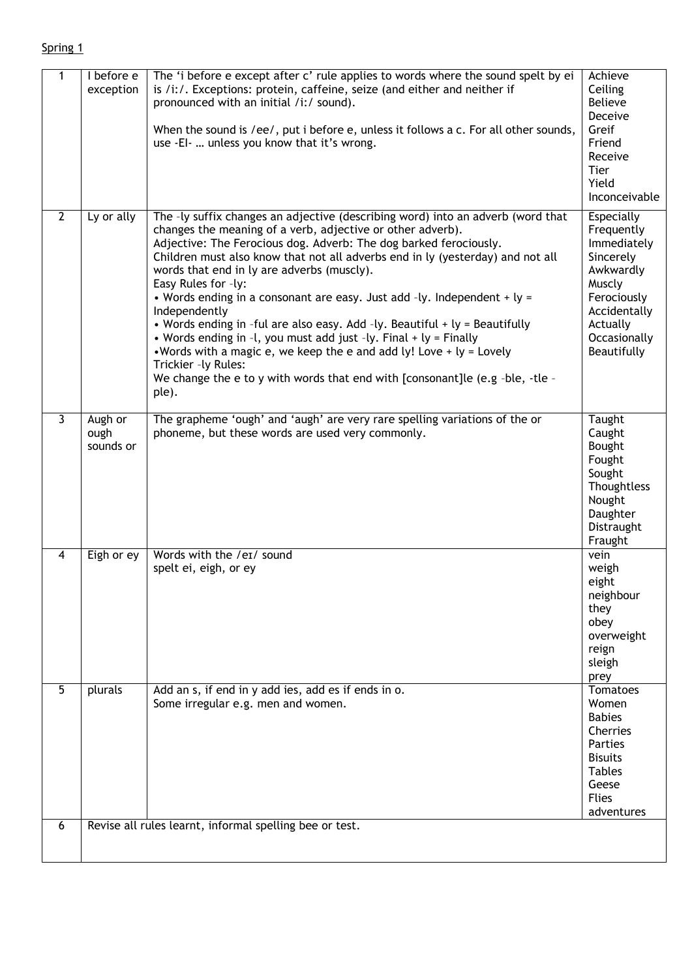## Spring 1

| 1              | I before e<br>exception      | The 'i before e except after c' rule applies to words where the sound spelt by ei<br>is /i:/. Exceptions: protein, caffeine, seize (and either and neither if<br>pronounced with an initial /i:/ sound).<br>When the sound is /ee/, put i before $e$ , unless it follows a $c$ . For all other sounds,<br>use -EI-  unless you know that it's wrong.                                                                                                                                                                                                                                                                                                                                                                                                                                                                    | Achieve<br>Ceiling<br><b>Believe</b><br>Deceive<br>Greif<br>Friend<br>Receive<br>Tier<br>Yield<br>Inconceivable                                              |
|----------------|------------------------------|-------------------------------------------------------------------------------------------------------------------------------------------------------------------------------------------------------------------------------------------------------------------------------------------------------------------------------------------------------------------------------------------------------------------------------------------------------------------------------------------------------------------------------------------------------------------------------------------------------------------------------------------------------------------------------------------------------------------------------------------------------------------------------------------------------------------------|--------------------------------------------------------------------------------------------------------------------------------------------------------------|
| $\overline{2}$ | Ly or ally                   | The -ly suffix changes an adjective (describing word) into an adverb (word that<br>changes the meaning of a verb, adjective or other adverb).<br>Adjective: The Ferocious dog. Adverb: The dog barked ferociously.<br>Children must also know that not all adverbs end in ly (yesterday) and not all<br>words that end in ly are adverbs (muscly).<br>Easy Rules for -ly:<br>• Words ending in a consonant are easy. Just add -ly. Independent + $ly =$<br>Independently<br>• Words ending in -ful are also easy. Add -ly. Beautiful + ly = Beautifully<br>• Words ending in -l, you must add just -ly. Final + ly = Finally<br>. Words with a magic e, we keep the e and add ly! Love $+$ ly = Lovely<br>Trickier -ly Rules:<br>We change the e to y with words that end with [consonant]le (e.g -ble, -tle -<br>ple). | <b>Especially</b><br>Frequently<br>Immediately<br>Sincerely<br>Awkwardly<br>Muscly<br>Ferociously<br>Accidentally<br>Actually<br>Occasionally<br>Beautifully |
| $\overline{3}$ | Augh or<br>ough<br>sounds or | The grapheme 'ough' and 'augh' are very rare spelling variations of the or<br>phoneme, but these words are used very commonly.                                                                                                                                                                                                                                                                                                                                                                                                                                                                                                                                                                                                                                                                                          | Taught<br>Caught<br>Bought<br>Fought<br>Sought<br>Thoughtless<br>Nought<br>Daughter<br>Distraught<br>Fraught                                                 |
| 4              | Eigh or ey                   | Words with the /eɪ/ sound<br>spelt ei, eigh, or ey                                                                                                                                                                                                                                                                                                                                                                                                                                                                                                                                                                                                                                                                                                                                                                      | vein<br>weigh<br>eight<br>neighbour<br>they<br>obey<br>overweight<br>reign<br>sleigh<br>prey                                                                 |
| $\overline{5}$ | plurals                      | Add an s, if end in y add ies, add es if ends in o.<br>Some irregular e.g. men and women.                                                                                                                                                                                                                                                                                                                                                                                                                                                                                                                                                                                                                                                                                                                               | Tomatoes<br>Women<br><b>Babies</b><br>Cherries<br>Parties<br><b>Bisuits</b><br><b>Tables</b><br>Geese<br><b>Flies</b><br>adventures                          |
| 6              |                              | Revise all rules learnt, informal spelling bee or test.                                                                                                                                                                                                                                                                                                                                                                                                                                                                                                                                                                                                                                                                                                                                                                 |                                                                                                                                                              |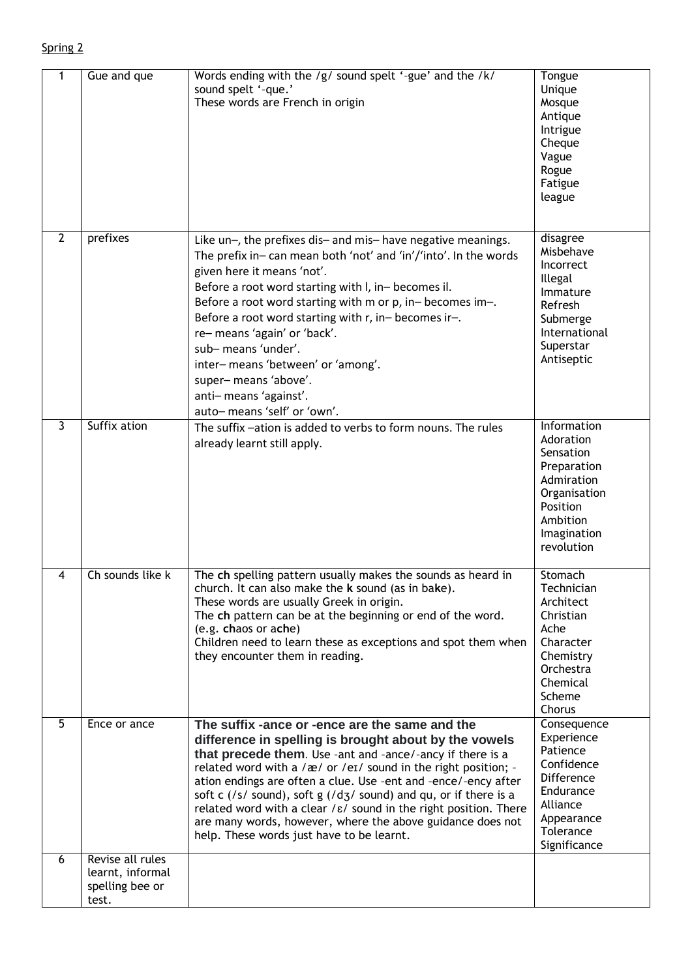| 1              | Gue and que                                                      | Words ending with the /g/ sound spelt '-gue' and the /k/<br>sound spelt '-que.'<br>These words are French in origin                                                                                                                                                                                                                                                                                                                                                                                                                                                                    | Tongue<br>Unique<br>Mosque<br>Antique<br>Intrigue<br>Cheque<br>Vague<br>Rogue<br>Fatigue<br>league                                      |
|----------------|------------------------------------------------------------------|----------------------------------------------------------------------------------------------------------------------------------------------------------------------------------------------------------------------------------------------------------------------------------------------------------------------------------------------------------------------------------------------------------------------------------------------------------------------------------------------------------------------------------------------------------------------------------------|-----------------------------------------------------------------------------------------------------------------------------------------|
| $\overline{2}$ | prefixes                                                         | Like un-, the prefixes dis- and mis- have negative meanings.<br>The prefix in-can mean both 'not' and 'in'/'into'. In the words<br>given here it means 'not'.<br>Before a root word starting with I, in-becomes il.<br>Before a root word starting with m or p, in-becomes im-.<br>Before a root word starting with r, in-becomes ir-.<br>re-means 'again' or 'back'.<br>sub-means 'under'.<br>inter-means 'between' or 'among'.<br>super-means 'above'.<br>anti-means 'against'.<br>auto-means 'self' or 'own'.                                                                       | disagree<br>Misbehave<br>Incorrect<br>Illegal<br>Immature<br>Refresh<br>Submerge<br>International<br>Superstar<br>Antiseptic            |
| لا             | Suffix ation                                                     | The suffix-ation is added to verbs to form nouns. The rules<br>already learnt still apply.                                                                                                                                                                                                                                                                                                                                                                                                                                                                                             | Information<br>Adoration<br>Sensation<br>Preparation<br>Admiration<br>Organisation<br>Position<br>Ambition<br>Imagination<br>revolution |
| 4              | Ch sounds like k                                                 | The ch spelling pattern usually makes the sounds as heard in<br>church. It can also make the k sound (as in bake).<br>These words are usually Greek in origin.<br>The ch pattern can be at the beginning or end of the word.<br>(e.g. chaos or ache)<br>Children need to learn these as exceptions and spot them when<br>they encounter them in reading.                                                                                                                                                                                                                               | Stomach<br>Technician<br>Architect<br>Christian<br>Ache<br>Character<br>Chemistry<br>Orchestra<br>Chemical<br>Scheme<br>Chorus          |
| $\overline{5}$ | Ence or ance                                                     | The suffix -ance or -ence are the same and the<br>difference in spelling is brought about by the vowels<br>that precede them. Use -ant and -ance/-ancy if there is a<br>related word with a $/\text{æ}/$ or $/\text{e}$ sound in the right position; -<br>ation endings are often a clue. Use -ent and -ence/-ency after<br>soft c (/s/ sound), soft g (/dʒ/ sound) and qu, or if there is a<br>related word with a clear / $\epsilon$ / sound in the right position. There<br>are many words, however, where the above guidance does not<br>help. These words just have to be learnt. | Consequence<br>Experience<br>Patience<br>Confidence<br>Difference<br>Endurance<br>Alliance<br>Appearance<br>Tolerance<br>Significance   |
| 6              | Revise all rules<br>learnt, informal<br>spelling bee or<br>test. |                                                                                                                                                                                                                                                                                                                                                                                                                                                                                                                                                                                        |                                                                                                                                         |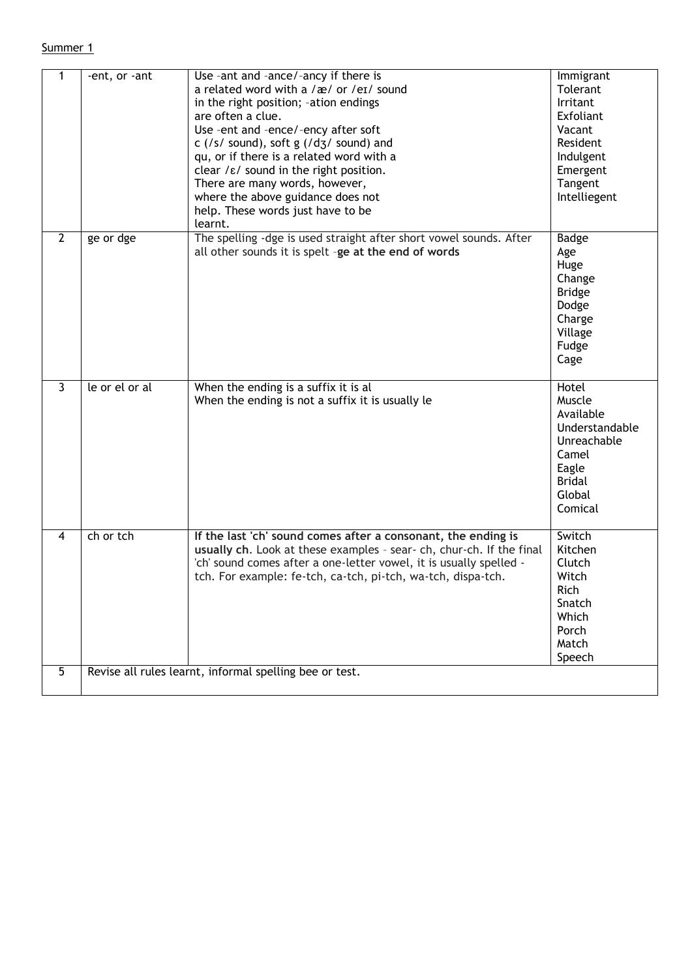## Summer 1

| 1              | -ent, or -ant  | Use -ant and -ance/-ancy if there is<br>a related word with a /æ/ or /eɪ/ sound<br>in the right position; -ation endings<br>are often a clue.<br>Use -ent and -ence/-ency after soft<br>c (/s/ sound), soft $g$ (/d $g$ / sound) and<br>qu, or if there is a related word with a<br>clear $/\varepsilon$ sound in the right position.<br>There are many words, however,<br>where the above guidance does not<br>help. These words just have to be | Immigrant<br>Tolerant<br>Irritant<br>Exfoliant<br>Vacant<br>Resident<br>Indulgent<br>Emergent<br>Tangent<br>Intelliegent |
|----------------|----------------|---------------------------------------------------------------------------------------------------------------------------------------------------------------------------------------------------------------------------------------------------------------------------------------------------------------------------------------------------------------------------------------------------------------------------------------------------|--------------------------------------------------------------------------------------------------------------------------|
| $\overline{2}$ | ge or dge      | learnt.<br>The spelling -dge is used straight after short vowel sounds. After<br>all other sounds it is spelt -ge at the end of words                                                                                                                                                                                                                                                                                                             | Badge<br>Age<br>Huge<br>Change<br><b>Bridge</b><br>Dodge<br>Charge<br>Village<br>Fudge<br>Cage                           |
| $\overline{3}$ | le or el or al | When the ending is a suffix it is al<br>When the ending is not a suffix it is usually le                                                                                                                                                                                                                                                                                                                                                          | Hotel<br>Muscle<br>Available<br>Understandable<br>Unreachable<br>Camel<br>Eagle<br><b>Bridal</b><br>Global<br>Comical    |
| 4              | ch or tch      | If the last 'ch' sound comes after a consonant, the ending is<br>usually ch. Look at these examples - sear- ch, chur-ch. If the final<br>'ch' sound comes after a one-letter vowel, it is usually spelled -<br>tch. For example: fe-tch, ca-tch, pi-tch, wa-tch, dispa-tch.                                                                                                                                                                       | Switch<br>Kitchen<br>Clutch<br>Witch<br>Rich<br>Snatch<br>Which<br>Porch<br>Match<br>Speech                              |
| $\overline{5}$ |                | Revise all rules learnt, informal spelling bee or test.                                                                                                                                                                                                                                                                                                                                                                                           |                                                                                                                          |